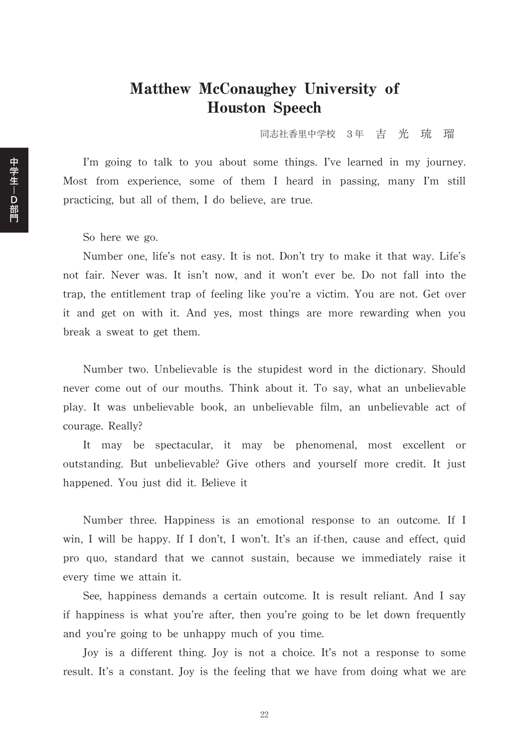## Matthew McConaughey University of Houston Speech

同志社香里中学校 3年 吉 光 琉 瑠

I'm going to talk to you about some things. I've learned in my journey. Most from experience, some of them I heard in passing, many I'm still practicing, but all of them, I do believe, are true.

So here we go.

Number one, life's not easy. It is not. Don't try to make it that way. Life's not fair. Never was. It isn't now, and it won't ever be. Do not fall into the trap, the entitlement trap of feeling like you're a victim. You are not. Get over it and get on with it. And yes, most things are more rewarding when you break a sweat to get them.

Number two. Unbelievable is the stupidest word in the dictionary. Should never come out of our mouths. Think about it. To say, what an unbelievable play. It was unbelievable book, an unbelievable film, an unbelievable act of courage. Really?

It may be spectacular, it may be phenomenal, most excellent or outstanding. But unbelievable? Give others and yourself more credit. It just happened. You just did it. Believe it

Number three. Happiness is an emotional response to an outcome. If I win, I will be happy. If I don't, I won't. It's an if-then, cause and effect, quid pro quo, standard that we cannot sustain, because we immediately raise it every time we attain it.

See, happiness demands a certain outcome. It is result reliant. And I say if happiness is what you're after, then you're going to be let down frequently and you're going to be unhappy much of you time.

Joy is a different thing. Joy is not a choice. It's not a response to some result. It's a constant. Joy is the feeling that we have from doing what we are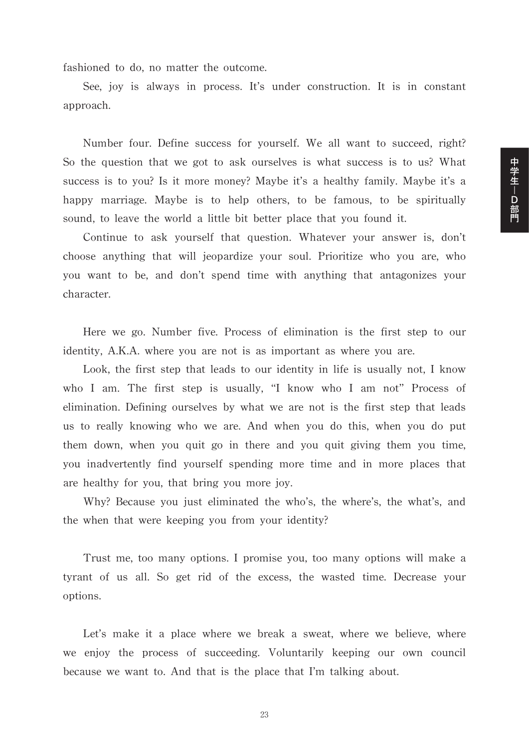fashioned to do, no matter the outcome.

See, joy is always in process. It's under construction. It is in constant approach.

Number four. Define success for yourself. We all want to succeed, right? So the question that we got to ask ourselves is what success is to us? What success is to you? Is it more money? Maybe it's a healthy family. Maybe it's a happy marriage. Maybe is to help others, to be famous, to be spiritually sound, to leave the world a little bit better place that you found it.

Continue to ask yourself that question. Whatever your answer is, don't choose anything that will jeopardize your soul. Prioritize who you are, who you want to be, and don't spend time with anything that antagonizes your character.

Here we go. Number five. Process of elimination is the first step to our identity, A.K.A. where you are not is as important as where you are.

Look, the first step that leads to our identity in life is usually not, I know who I am. The first step is usually, "I know who I am not" Process of elimination. Defining ourselves by what we are not is the first step that leads us to really knowing who we are. And when you do this, when you do put them down, when you quit go in there and you quit giving them you time, you inadvertently find yourself spending more time and in more places that are healthy for you, that bring you more joy.

Why? Because you just eliminated the who's, the where's, the what's, and the when that were keeping you from your identity?

Trust me, too many options. I promise you, too many options will make a tyrant of us all. So get rid of the excess, the wasted time. Decrease your options.

Let's make it a place where we break a sweat, where we believe, where we enjoy the process of succeeding. Voluntarily keeping our own council because we want to. And that is the place that I'm talking about.